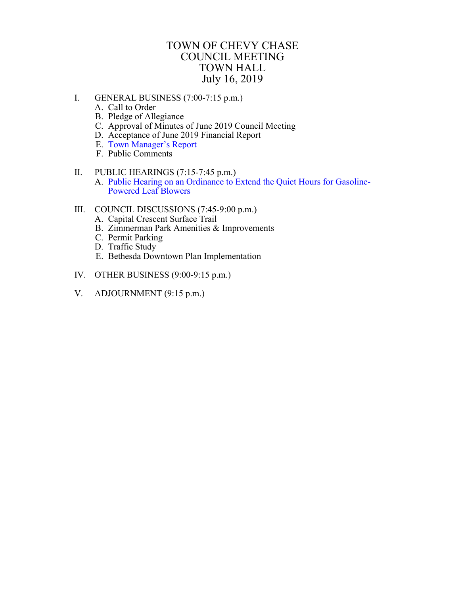## TOWN OF CHEVY CHASE COUNCIL MEETING TOWN HALL July 16, 2019

- <span id="page-0-0"></span>I. GENERAL BUSINESS (7:00-7:15 p.m.)
	- A. Call to Order
	- B. Pledge of Allegiance
	- C. Approval of Minutes of June 2019 Council Meeting
	- D. Acceptance of June 2019 Financial Report
	- E. Town [Manager's Report](#page-1-0)
	- F. Public Comments
- II. PUBLIC HEARINGS (7:15-7:45 p.m.) A. Public Hearing on an Ordinance to [Extend the Quiet Hours for Gasoline-](#page-2-0)Powered Leaf Blowers
- III. COUNCIL DISCUSSIONS (7:45-9:00 p.m.)
	- A. Capital Crescent Surface Trail
	- B. Zimmerman Park Amenities & Improvements
	- C. Permit Parking
	- D. Traffic Study
	- E. Bethesda Downtown Plan Implementation
- IV. OTHER BUSINESS (9:00-9:15 p.m.)
- V. ADJOURNMENT (9:15 p.m.)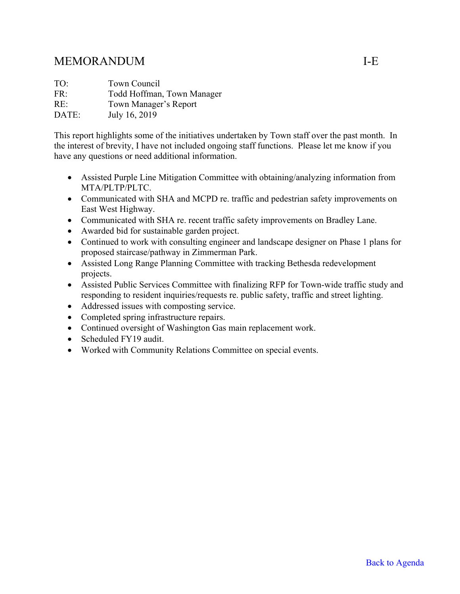# <span id="page-1-0"></span>MEMORANDUM I-E

| TO:   | Town Council               |
|-------|----------------------------|
| FR:   | Todd Hoffman, Town Manager |
| RE:   | Town Manager's Report      |
| DATE: | July 16, 2019              |

This report highlights some of the initiatives undertaken by Town staff over the past month. In the interest of brevity, I have not included ongoing staff functions. Please let me know if you have any questions or need additional information.

- Assisted Purple Line Mitigation Committee with obtaining/analyzing information from MTA/PLTP/PLTC.
- Communicated with SHA and MCPD re. traffic and pedestrian safety improvements on East West Highway.
- Communicated with SHA re. recent traffic safety improvements on Bradley Lane.
- Awarded bid for sustainable garden project.
- Continued to work with consulting engineer and landscape designer on Phase 1 plans for proposed staircase/pathway in Zimmerman Park.
- Assisted Long Range Planning Committee with tracking Bethesda redevelopment projects.
- Assisted Public Services Committee with finalizing RFP for Town-wide traffic study and responding to resident inquiries/requests re. public safety, traffic and street lighting.
- Addressed issues with composting service.
- Completed spring infrastructure repairs.
- Continued oversight of Washington Gas main replacement work.
- Scheduled FY19 audit.
- Worked with Community Relations Committee on special events.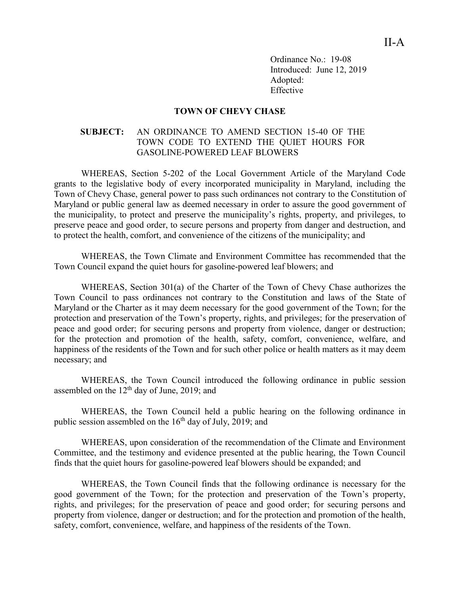Ordinance No.: 19-08 Introduced: June 12, 2019 Adopted: Effective

#### **TOWN OF CHEVY CHASE**

#### <span id="page-2-0"></span>**SUBJECT:** AN ORDINANCE TO AMEND SECTION 15-40 OF THE TOWN CODE TO EXTEND THE QUIET HOURS FOR GASOLINE-POWERED LEAF BLOWERS

WHEREAS, Section 5-202 of the Local Government Article of the Maryland Code grants to the legislative body of every incorporated municipality in Maryland, including the Town of Chevy Chase, general power to pass such ordinances not contrary to the Constitution of Maryland or public general law as deemed necessary in order to assure the good government of the municipality, to protect and preserve the municipality's rights, property, and privileges, to preserve peace and good order, to secure persons and property from danger and destruction, and to protect the health, comfort, and convenience of the citizens of the municipality; and

WHEREAS, the Town Climate and Environment Committee has recommended that the Town Council expand the quiet hours for gasoline-powered leaf blowers; and

WHEREAS, Section 301(a) of the Charter of the Town of Chevy Chase authorizes the Town Council to pass ordinances not contrary to the Constitution and laws of the State of Maryland or the Charter as it may deem necessary for the good government of the Town; for the protection and preservation of the Town's property, rights, and privileges; for the preservation of peace and good order; for securing persons and property from violence, danger or destruction; for the protection and promotion of the health, safety, comfort, convenience, welfare, and happiness of the residents of the Town and for such other police or health matters as it may deem necessary; and

WHEREAS, the Town Council introduced the following ordinance in public session assembled on the  $12<sup>th</sup>$  day of June, 2019; and

WHEREAS, the Town Council held a public hearing on the following ordinance in public session assembled on the  $16<sup>th</sup>$  day of July, 2019; and

WHEREAS, upon consideration of the recommendation of the Climate and Environment Committee, and the testimony and evidence presented at the public hearing, the Town Council finds that the quiet hours for gasoline-powered leaf blowers should be expanded; and

WHEREAS, the Town Council finds that the following ordinance is necessary for the good government of the Town; for the protection and preservation of the Town's property, rights, and privileges; for the preservation of peace and good order; for securing persons and property from violence, danger or destruction; and for the protection and promotion of the health, safety, comfort, convenience, welfare, and happiness of the residents of the Town.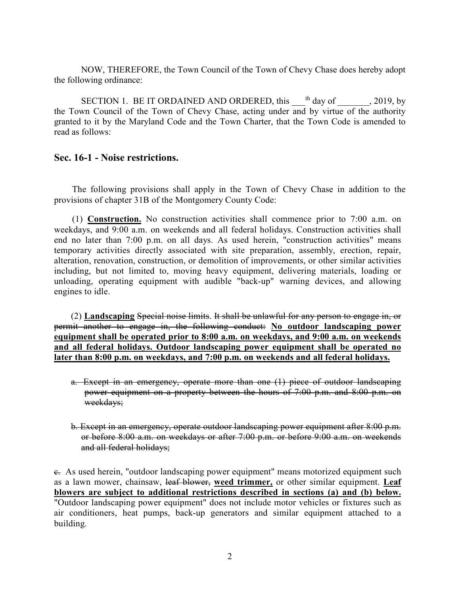NOW, THEREFORE, the Town Council of the Town of Chevy Chase does hereby adopt the following ordinance:

SECTION 1. BE IT ORDAINED AND ORDERED, this  $^{th}$  day of  $\qquad$ , 2019, by the Town Council of the Town of Chevy Chase, acting under and by virtue of the authority granted to it by the Maryland Code and the Town Charter, that the Town Code is amended to read as follows:

### **Sec. 16-1 - Noise restrictions.**

The following provisions shall apply in the Town of Chevy Chase in addition to the provisions of chapter 31B of the Montgomery County Code:

(1) **Construction.** No construction activities shall commence prior to 7:00 a.m. on weekdays, and 9:00 a.m. on weekends and all federal holidays. Construction activities shall end no later than 7:00 p.m. on all days. As used herein, "construction activities" means temporary activities directly associated with site preparation, assembly, erection, repair, alteration, renovation, construction, or demolition of improvements, or other similar activities including, but not limited to, moving heavy equipment, delivering materials, loading or unloading, operating equipment with audible "back-up" warning devices, and allowing engines to idle.

(2) **Landscaping** Special noise limits. It shall be unlawful for any person to engage in, or permit another to engage in, the following conduct: **No outdoor landscaping power equipment shall be operated prior to 8:00 a.m. on weekdays, and 9:00 a.m. on weekends and all federal holidays. Outdoor landscaping power equipment shall be operated no later than 8:00 p.m. on weekdays, and 7:00 p.m. on weekends and all federal holidays.** 

- a. Except in an emergency, operate more than one (1) piece of outdoor landscaping power equipment on a property between the hours of 7:00 p.m. and 8:00 p.m. on weekdays;
- b. Except in an emergency, operate outdoor landscaping power equipment after 8:00 p.m. or before 8:00 a.m. on weekdays or after 7:00 p.m. or before 9:00 a.m. on weekends and all federal holidays;

c. As used herein, "outdoor landscaping power equipment" means motorized equipment such as a lawn mower, chainsaw, leaf blower, **weed trimmer,** or other similar equipment. **Leaf blowers are subject to additional restrictions described in sections (a) and (b) below.** "Outdoor landscaping power equipment" does not include motor vehicles or fixtures such as air conditioners, heat pumps, back-up generators and similar equipment attached to a building.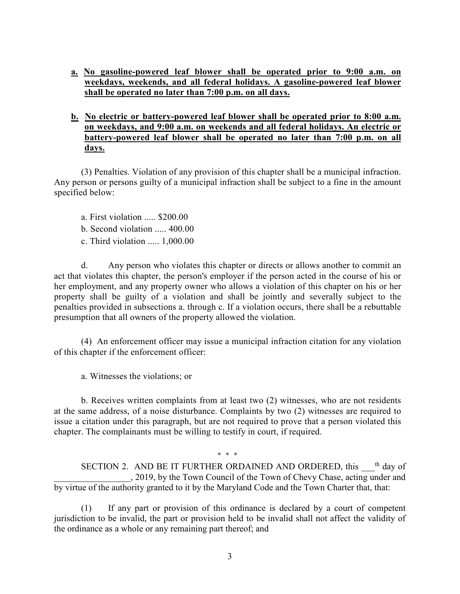- **a. No gasoline-powered leaf blower shall be operated prior to 9:00 a.m. on weekdays, weekends, and all federal holidays. A gasoline-powered leaf blower shall be operated no later than 7:00 p.m. on all days.**
- **b. No electric or battery-powered leaf blower shall be operated prior to 8:00 a.m. on weekdays, and 9:00 a.m. on weekends and all federal holidays. An electric or battery-powered leaf blower shall be operated no later than 7:00 p.m. on all days.**

(3) Penalties. Violation of any provision of this chapter shall be a municipal infraction. Any person or persons guilty of a municipal infraction shall be subject to a fine in the amount specified below:

- a. First violation ..... \$200.00
- b. Second violation ..... 400.00
- c. Third violation ..... 1,000.00

d. Any person who violates this chapter or directs or allows another to commit an act that violates this chapter, the person's employer if the person acted in the course of his or her employment, and any property owner who allows a violation of this chapter on his or her property shall be guilty of a violation and shall be jointly and severally subject to the penalties provided in subsections a. through c. If a violation occurs, there shall be a rebuttable presumption that all owners of the property allowed the violation.

(4) An enforcement officer may issue a municipal infraction citation for any violation of this chapter if the enforcement officer:

a. Witnesses the violations; or

b. Receives written complaints from at least two (2) witnesses, who are not residents at the same address, of a noise disturbance. Complaints by two (2) witnesses are required to issue a citation under this paragraph, but are not required to prove that a person violated this chapter. The complainants must be willing to testify in court, if required.

SECTION 2. AND BE IT FURTHER ORDAINED AND ORDERED, this  $<sup>th</sup>$  day of</sup> \_\_\_\_\_\_\_\_\_\_\_\_\_\_\_\_\_, 2019, by the Town Council of the Town of Chevy Chase, acting under and by virtue of the authority granted to it by the Maryland Code and the Town Charter that, that:

\* \* \*

(1) If any part or provision of this ordinance is declared by a court of competent jurisdiction to be invalid, the part or provision held to be invalid shall not affect the validity of the ordinance as a whole or any remaining part thereof; and